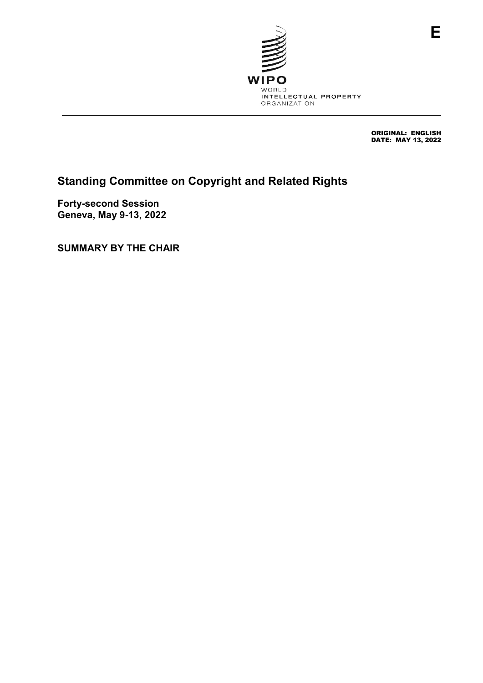

ORIGINAL: ENGLISH DATE: MAY 13, 2022

# **Standing Committee on Copyright and Related Rights**

**Forty-second Session Geneva, May 9-13, 2022**

**SUMMARY BY THE CHAIR**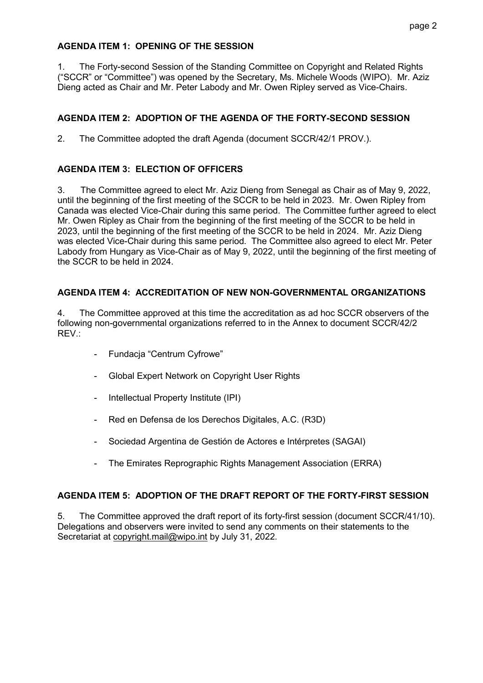#### **AGENDA ITEM 1: OPENING OF THE SESSION**

1. The Forty-second Session of the Standing Committee on Copyright and Related Rights ("SCCR" or "Committee") was opened by the Secretary, Ms. Michele Woods (WIPO). Mr. Aziz Dieng acted as Chair and Mr. Peter Labody and Mr. Owen Ripley served as Vice-Chairs.

## **AGENDA ITEM 2: ADOPTION OF THE AGENDA OF THE FORTY-SECOND SESSION**

2. The Committee adopted the draft Agenda (document SCCR/42/1 PROV.).

# **AGENDA ITEM 3: ELECTION OF OFFICERS**

3. The Committee agreed to elect Mr. Aziz Dieng from Senegal as Chair as of May 9, 2022, until the beginning of the first meeting of the SCCR to be held in 2023. Mr. Owen Ripley from Canada was elected Vice-Chair during this same period. The Committee further agreed to elect Mr. Owen Ripley as Chair from the beginning of the first meeting of the SCCR to be held in 2023, until the beginning of the first meeting of the SCCR to be held in 2024. Mr. Aziz Dieng was elected Vice-Chair during this same period. The Committee also agreed to elect Mr. Peter Labody from Hungary as Vice-Chair as of May 9, 2022, until the beginning of the first meeting of the SCCR to be held in 2024.

## **AGENDA ITEM 4: ACCREDITATION OF NEW NON-GOVERNMENTAL ORGANIZATIONS**

4. The Committee approved at this time the accreditation as ad hoc SCCR observers of the following non-governmental organizations referred to in the Annex to document SCCR/42/2 REV.:

- Fundacja "Centrum Cyfrowe"
- Global Expert Network on Copyright User Rights
- Intellectual Property Institute (IPI)
- Red en Defensa de los Derechos Digitales, A.C. (R3D)
- Sociedad Argentina de Gestión de Actores e Intérpretes (SAGAI)
- The Emirates Reprographic Rights Management Association (ERRA)

## **AGENDA ITEM 5: ADOPTION OF THE DRAFT REPORT OF THE FORTY-FIRST SESSION**

5. The Committee approved the draft report of its forty-first session (document SCCR/41/10). Delegations and observers were invited to send any comments on their statements to the Secretariat at copyright.mail@wipo.int by July 31, 2022.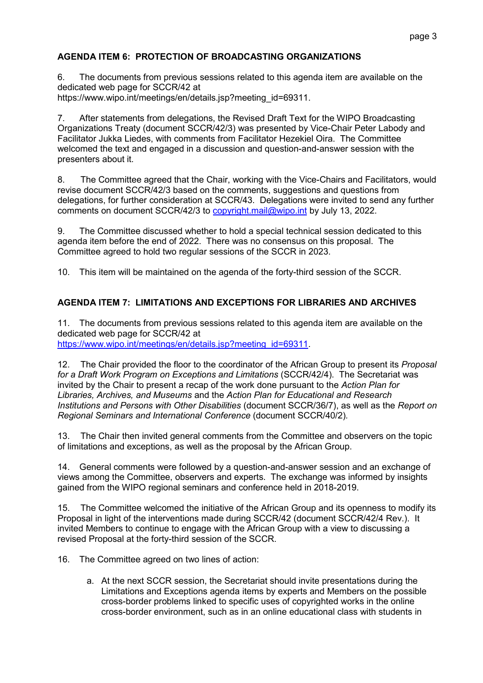# **AGENDA ITEM 6: PROTECTION OF BROADCASTING ORGANIZATIONS**

6. The documents from previous sessions related to this agenda item are available on the dedicated web page for SCCR/42 at https://www.wipo.int/meetings/en/details.jsp?meeting\_id=69311.

7. After statements from delegations, the Revised Draft Text for the WIPO Broadcasting Organizations Treaty (document SCCR/42/3) was presented by Vice-Chair Peter Labody and Facilitator Jukka Liedes, with comments from Facilitator Hezekiel Oira. The Committee welcomed the text and engaged in a discussion and question-and-answer session with the presenters about it*.*

8. The Committee agreed that the Chair, working with the Vice-Chairs and Facilitators, would revise document SCCR/42/3 based on the comments, suggestions and questions from delegations, for further consideration at SCCR/43. Delegations were invited to send any further comments on document SCCR/42/3 to [copyright.mail@wipo.int](mailto:copyright.mail@wipo.int) by July 13, 2022.

9. The Committee discussed whether to hold a special technical session dedicated to this agenda item before the end of 2022. There was no consensus on this proposal. The Committee agreed to hold two regular sessions of the SCCR in 2023.

10. This item will be maintained on the agenda of the forty-third session of the SCCR.

## **AGENDA ITEM 7: LIMITATIONS AND EXCEPTIONS FOR LIBRARIES AND ARCHIVES**

11. The documents from previous sessions related to this agenda item are available on the dedicated web page for SCCR/42 at [https://www.wipo.int/meetings/en/details.jsp?meeting\\_id=69311.](https://www.wipo.int/meetings/en/details.jsp?meeting_id=69311)

12. The Chair provided the floor to the coordinator of the African Group to present its *Proposal for a Draft Work Program on Exceptions and Limitations* (SCCR/42/4). The Secretariat was invited by the Chair to present a recap of the work done pursuant to the *Action Plan for Libraries, Archives, and Museums* and the *Action Plan for Educational and Research Institutions and Persons with Other Disabilities* (document SCCR/36/7), as well as the *Report on Regional Seminars and International Conference* (document SCCR/40/2)*.*

13. The Chair then invited general comments from the Committee and observers on the topic of limitations and exceptions, as well as the proposal by the African Group.

14. General comments were followed by a question-and-answer session and an exchange of views among the Committee, observers and experts. The exchange was informed by insights gained from the WIPO regional seminars and conference held in 2018-2019.

15. The Committee welcomed the initiative of the African Group and its openness to modify its Proposal in light of the interventions made during SCCR/42 (document SCCR/42/4 Rev.). It invited Members to continue to engage with the African Group with a view to discussing a revised Proposal at the forty-third session of the SCCR.

16. The Committee agreed on two lines of action:

a. At the next SCCR session, the Secretariat should invite presentations during the Limitations and Exceptions agenda items by experts and Members on the possible cross-border problems linked to specific uses of copyrighted works in the online cross-border environment, such as in an online educational class with students in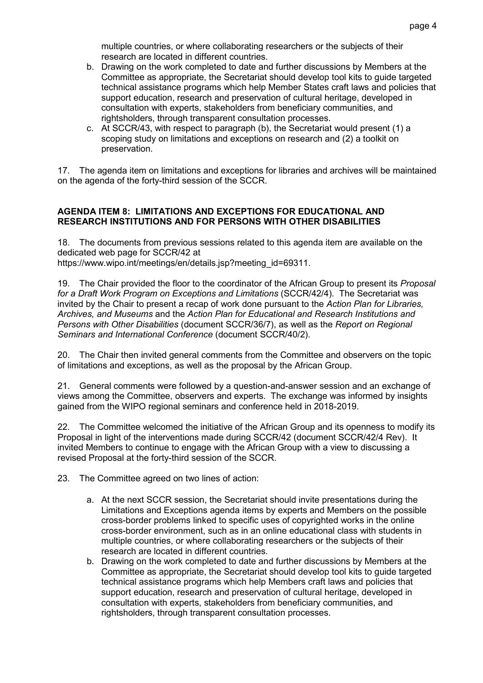multiple countries, or where collaborating researchers or the subjects of their research are located in different countries.

- b. Drawing on the work completed to date and further discussions by Members at the Committee as appropriate, the Secretariat should develop tool kits to guide targeted technical assistance programs which help Member States craft laws and policies that support education, research and preservation of cultural heritage, developed in consultation with experts, stakeholders from beneficiary communities, and rightsholders, through transparent consultation processes.
- c. At SCCR/43, with respect to paragraph (b), the Secretariat would present (1) a scoping study on limitations and exceptions on research and (2) a toolkit on preservation.

17. The agenda item on limitations and exceptions for libraries and archives will be maintained on the agenda of the forty-third session of the SCCR.

#### **AGENDA ITEM 8: LIMITATIONS AND EXCEPTIONS FOR EDUCATIONAL AND RESEARCH INSTITUTIONS AND FOR PERSONS WITH OTHER DISABILITIES**

18. The documents from previous sessions related to this agenda item are available on the dedicated web page for SCCR/42 at https://www.wipo.int/meetings/en/details.jsp?meeting\_id=69311.

19. The Chair provided the floor to the coordinator of the African Group to present its *Proposal for a Draft Work Program on Exceptions and Limitations* (SCCR/42/4). The Secretariat was invited by the Chair to present a recap of work done pursuant to the *Action Plan for Libraries, Archives, and Museums* and the *Action Plan for Educational and Research Institutions and Persons with Other Disabilities* (document SCCR/36/7), as well as the *Report on Regional Seminars and International Conference* (document SCCR/40/2)*.*

20. The Chair then invited general comments from the Committee and observers on the topic of limitations and exceptions, as well as the proposal by the African Group.

21. General comments were followed by a question-and-answer session and an exchange of views among the Committee, observers and experts. The exchange was informed by insights gained from the WIPO regional seminars and conference held in 2018-2019.

22. The Committee welcomed the initiative of the African Group and its openness to modify its Proposal in light of the interventions made during SCCR/42 (document SCCR/42/4 Rev). It invited Members to continue to engage with the African Group with a view to discussing a revised Proposal at the forty-third session of the SCCR.

23. The Committee agreed on two lines of action:

- a. At the next SCCR session, the Secretariat should invite presentations during the Limitations and Exceptions agenda items by experts and Members on the possible cross-border problems linked to specific uses of copyrighted works in the online cross-border environment, such as in an online educational class with students in multiple countries, or where collaborating researchers or the subjects of their research are located in different countries.
- b. Drawing on the work completed to date and further discussions by Members at the Committee as appropriate, the Secretariat should develop tool kits to guide targeted technical assistance programs which help Members craft laws and policies that support education, research and preservation of cultural heritage, developed in consultation with experts, stakeholders from beneficiary communities, and rightsholders, through transparent consultation processes.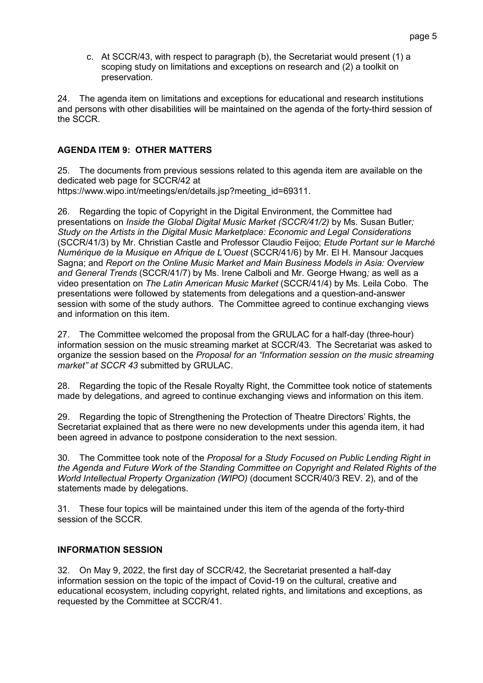c. At SCCR/43, with respect to paragraph (b), the Secretariat would present (1) a scoping study on limitations and exceptions on research and (2) a toolkit on preservation.

24. The agenda item on limitations and exceptions for educational and research institutions and persons with other disabilities will be maintained on the agenda of the forty-third session of the SCCR.

#### **AGENDA ITEM 9: OTHER MATTERS**

25. The documents from previous sessions related to this agenda item are available on the dedicated web page for SCCR/42 at

https://www.wipo.int/meetings/en/details.jsp?meeting\_id=69311.

26. Regarding the topic of Copyright in the Digital Environment, the Committee had presentations on *Inside the Global Digital Music Market (SCCR/41/2)* by Ms. Susan Butler*; Study on the Artists in the Digital Music Marketplace: Economic and Legal Considerations* (SCCR/41/3) by Mr. Christian Castle and Professor Claudio Feijoo; *Etude Portant sur le Marché Numérique de la Musique en Afrique de L'Ouest* (SCCR/41/6) by Mr. El H. Mansour Jacques Sagna; and *Report on the Online Music Market and Main Business Models in Asia: Overview and General Trends* (SCCR/41/7) by Ms. Irene Calboli and Mr. George Hwang*;* as well as a video presentation on *The Latin American Music Market* (SCCR/41/4) by Ms. Leila Cobo. The presentations were followed by statements from delegations and a question-and-answer session with some of the study authors. The Committee agreed to continue exchanging views and information on this item.

27. The Committee welcomed the proposal from the GRULAC for a half-day (three-hour) information session on the music streaming market at SCCR/43. The Secretariat was asked to organize the session based on the *Proposal for an "Information session on the music streaming market" at SCCR 43* submitted by GRULAC.

28. Regarding the topic of the Resale Royalty Right, the Committee took notice of statements made by delegations, and agreed to continue exchanging views and information on this item.

29. Regarding the topic of Strengthening the Protection of Theatre Directors' Rights, the Secretariat explained that as there were no new developments under this agenda item, it had been agreed in advance to postpone consideration to the next session.

30. The Committee took note of the *Proposal for a Study Focused on Public Lending Right in the Agenda and Future Work of the Standing Committee on Copyright and Related Rights of the World Intellectual Property Organization (WIPO)* (document SCCR/40/3 REV. 2), and of the statements made by delegations.

31. These four topics will be maintained under this item of the agenda of the forty-third session of the SCCR.

#### **INFORMATION SESSION**

32. On May 9, 2022, the first day of SCCR/42, the Secretariat presented a half-day information session on the topic of the impact of Covid-19 on the cultural, creative and educational ecosystem, including copyright, related rights, and limitations and exceptions, as requested by the Committee at SCCR/41.